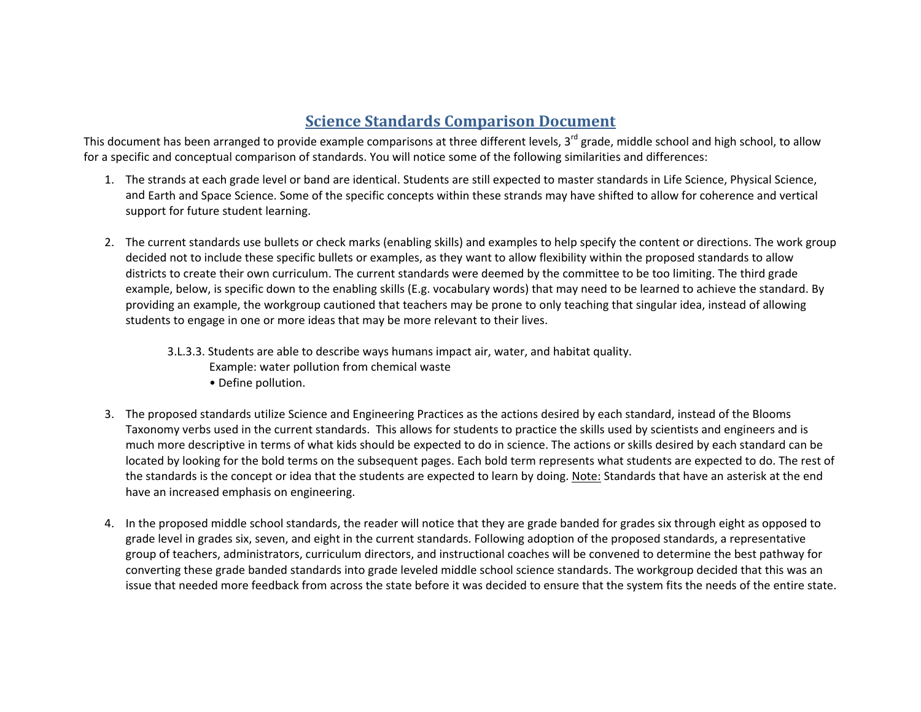## **Science Standards Comparison Document**

This document has been arranged to provide example comparisons at three different levels, 3<sup>rd</sup> grade, middle school and high school, to allow for a specific and conceptual comparison of standards. You will notice some of the following similarities and differences:

- 1. The strands at each grade level or band are identical. Students are still expected to master standards in Life Science, Physical Science, and Earth and Space Science. Some of the specific concepts within these strands may have shifted to allow for coherence and vertical support for future student learning.
- 2. The current standards use bullets or check marks (enabling skills) and examples to help specify the content or directions. The work group decided not to include these specific bullets or examples, as they want to allow flexibility within the proposed standards to allow districts to create their own curriculum. The current standards were deemed by the committee to be too limiting. The third grade example, below, is specific down to the enabling skills (E.g. vocabulary words) that may need to be learned to achieve the standard. By providing an example, the workgroup cautioned that teachers may be prone to only teaching that singular idea, instead of allowing students to engage in one or more ideas that may be more relevant to their lives.
	- 3.L.3.3. Students are able to describe ways humans impact air, water, and habitat quality.
		- Example: water pollution from chemical waste
		- Define pollution.
- 3. The proposed standards utilize Science and Engineering Practices as the actions desired by each standard, instead of the Blooms Taxonomy verbs used in the current standards. This allows for students to practice the skills used by scientists and engineers and is much more descriptive in terms of what kids should be expected to do in science. The actions or skills desired by each standard can be located by looking for the bold terms on the subsequent pages. Each bold term represents what students are expected to do. The rest of the standards is the concept or idea that the students are expected to learn by doing. <u>Note:</u> Standards that have an asterisk at the end have an increased emphasis on engineering.
- 4. In the proposed middle school standards, the reader will notice that they are grade banded for grades six through eight as opposed to grade level in grades six, seven, and eight in the current standards. Following adoption of the proposed standards, <sup>a</sup> representative group of teachers, administrators, curriculum directors, and instructional coaches will be convened to determine the best pathway for converting these grade banded standards into grade leveled middle school science standards. The workgroup decided that this was an issue that needed more feedback from across the state before it was decided to ensure that the system fits the needs of the entire state.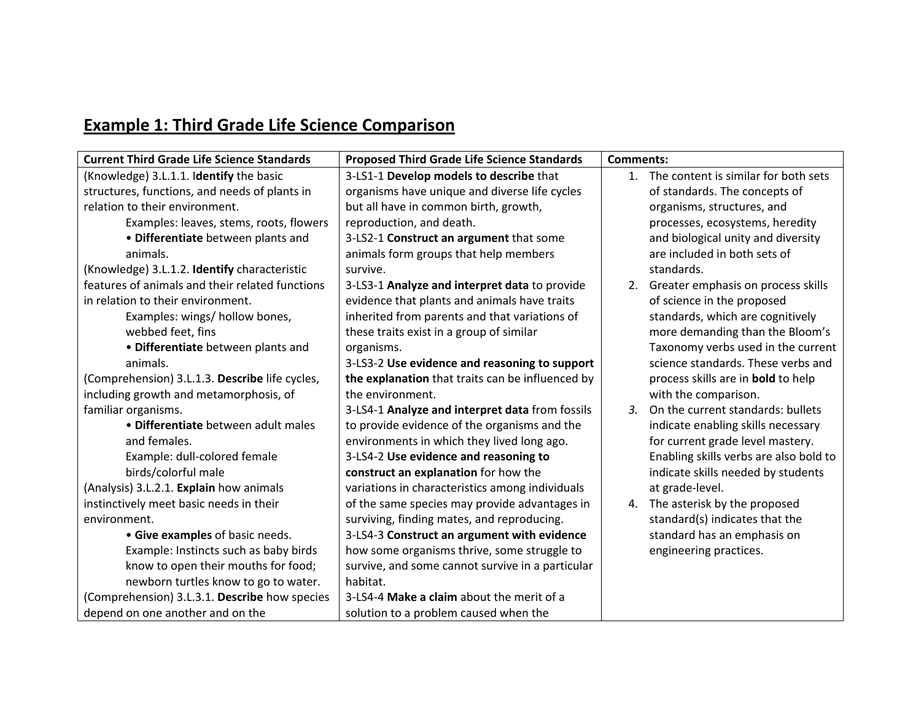## **Example 1: Third Grade Life Science Comparison**

| <b>Current Third Grade Life Science Standards</b> | <b>Proposed Third Grade Life Science Standards</b> | <b>Comments:</b>                          |
|---------------------------------------------------|----------------------------------------------------|-------------------------------------------|
| (Knowledge) 3.L.1.1. Identify the basic           | 3-LS1-1 Develop models to describe that            | 1. The content is similar for both sets   |
| structures, functions, and needs of plants in     | organisms have unique and diverse life cycles      | of standards. The concepts of             |
| relation to their environment.                    | but all have in common birth, growth,              | organisms, structures, and                |
| Examples: leaves, stems, roots, flowers           | reproduction, and death.                           | processes, ecosystems, heredity           |
| • Differentiate between plants and                | 3-LS2-1 Construct an argument that some            | and biological unity and diversity        |
| animals.                                          | animals form groups that help members              | are included in both sets of              |
| (Knowledge) 3.L.1.2. Identify characteristic      | survive.                                           | standards.                                |
| features of animals and their related functions   | 3-LS3-1 Analyze and interpret data to provide      | 2. Greater emphasis on process skills     |
| in relation to their environment.                 | evidence that plants and animals have traits       | of science in the proposed                |
| Examples: wings/ hollow bones,                    | inherited from parents and that variations of      | standards, which are cognitively          |
| webbed feet, fins                                 | these traits exist in a group of similar           | more demanding than the Bloom's           |
| • Differentiate between plants and                | organisms.                                         | Taxonomy verbs used in the current        |
| animals.                                          | 3-LS3-2 Use evidence and reasoning to support      | science standards. These verbs and        |
| (Comprehension) 3.L.1.3. Describe life cycles,    | the explanation that traits can be influenced by   | process skills are in <b>bold</b> to help |
| including growth and metamorphosis, of            | the environment.                                   | with the comparison.                      |
| familiar organisms.                               | 3-LS4-1 Analyze and interpret data from fossils    | 3. On the current standards: bullets      |
| · Differentiate between adult males               | to provide evidence of the organisms and the       | indicate enabling skills necessary        |
| and females.                                      | environments in which they lived long ago.         | for current grade level mastery.          |
| Example: dull-colored female                      | 3-LS4-2 Use evidence and reasoning to              | Enabling skills verbs are also bold to    |
| birds/colorful male                               | construct an explanation for how the               | indicate skills needed by students        |
| (Analysis) 3.L.2.1. Explain how animals           | variations in characteristics among individuals    | at grade-level.                           |
| instinctively meet basic needs in their           | of the same species may provide advantages in      | 4. The asterisk by the proposed           |
| environment.                                      | surviving, finding mates, and reproducing.         | standard(s) indicates that the            |
| • Give examples of basic needs.                   | 3-LS4-3 Construct an argument with evidence        | standard has an emphasis on               |
| Example: Instincts such as baby birds             | how some organisms thrive, some struggle to        | engineering practices.                    |
| know to open their mouths for food;               | survive, and some cannot survive in a particular   |                                           |
| newborn turtles know to go to water.              | habitat.                                           |                                           |
| (Comprehension) 3.L.3.1. Describe how species     | 3-LS4-4 Make a claim about the merit of a          |                                           |
| depend on one another and on the                  | solution to a problem caused when the              |                                           |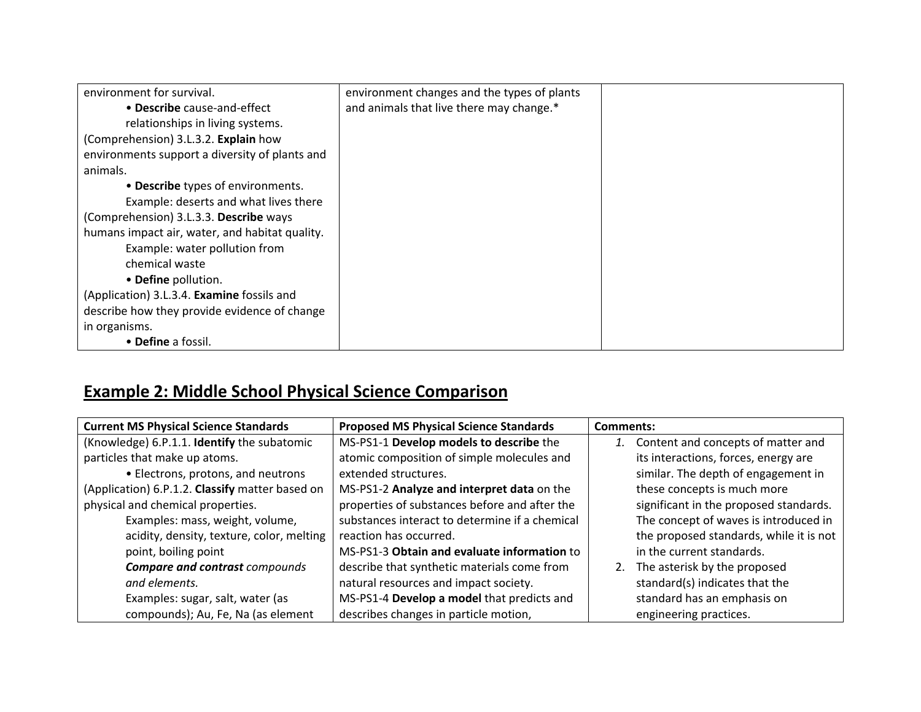| environment for survival.                      | environment changes and the types of plants |  |
|------------------------------------------------|---------------------------------------------|--|
| • Describe cause-and-effect                    | and animals that live there may change.*    |  |
| relationships in living systems.               |                                             |  |
| (Comprehension) 3.L.3.2. Explain how           |                                             |  |
| environments support a diversity of plants and |                                             |  |
| animals.                                       |                                             |  |
| • Describe types of environments.              |                                             |  |
| Example: deserts and what lives there          |                                             |  |
| (Comprehension) 3.L.3.3. Describe ways         |                                             |  |
| humans impact air, water, and habitat quality. |                                             |  |
| Example: water pollution from                  |                                             |  |
| chemical waste                                 |                                             |  |
| • Define pollution.                            |                                             |  |
| (Application) 3.L.3.4. Examine fossils and     |                                             |  |
| describe how they provide evidence of change   |                                             |  |
| in organisms.                                  |                                             |  |
| • Define a fossil.                             |                                             |  |

## **Example 2: Middle School Physical Science Comparison**

| <b>Current MS Physical Science Standards</b>    | <b>Proposed MS Physical Science Standards</b>  | Comments:                               |
|-------------------------------------------------|------------------------------------------------|-----------------------------------------|
| (Knowledge) 6.P.1.1. Identify the subatomic     | MS-PS1-1 Develop models to describe the        | Content and concepts of matter and      |
| particles that make up atoms.                   | atomic composition of simple molecules and     | its interactions, forces, energy are    |
| • Electrons, protons, and neutrons              | extended structures.                           | similar. The depth of engagement in     |
| (Application) 6.P.1.2. Classify matter based on | MS-PS1-2 Analyze and interpret data on the     | these concepts is much more             |
| physical and chemical properties.               | properties of substances before and after the  | significant in the proposed standards.  |
| Examples: mass, weight, volume,                 | substances interact to determine if a chemical | The concept of waves is introduced in   |
| acidity, density, texture, color, melting       | reaction has occurred.                         | the proposed standards, while it is not |
| point, boiling point                            | MS-PS1-3 Obtain and evaluate information to    | in the current standards.               |
| <b>Compare and contrast compounds</b>           | describe that synthetic materials come from    | The asterisk by the proposed<br>2.      |
| and elements.                                   | natural resources and impact society.          | standard(s) indicates that the          |
| Examples: sugar, salt, water (as                | MS-PS1-4 Develop a model that predicts and     | standard has an emphasis on             |
| compounds); Au, Fe, Na (as element              | describes changes in particle motion,          | engineering practices.                  |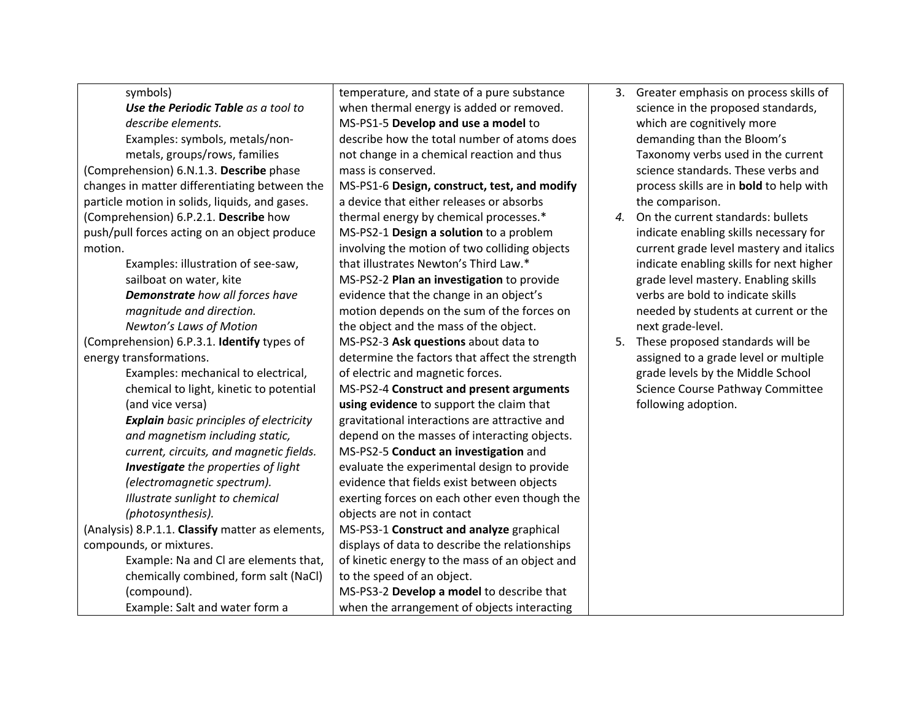| symbols)                                         | temperature, and state of a pure substance     | 3. | Greater emphasis on process skills of          |
|--------------------------------------------------|------------------------------------------------|----|------------------------------------------------|
| Use the Periodic Table as a tool to              | when thermal energy is added or removed.       |    | science in the proposed standards,             |
| describe elements.                               | MS-PS1-5 Develop and use a model to            |    | which are cognitively more                     |
| Examples: symbols, metals/non-                   | describe how the total number of atoms does    |    | demanding than the Bloom's                     |
| metals, groups/rows, families                    | not change in a chemical reaction and thus     |    | Taxonomy verbs used in the current             |
| (Comprehension) 6.N.1.3. Describe phase          | mass is conserved.                             |    | science standards. These verbs and             |
| changes in matter differentiating between the    | MS-PS1-6 Design, construct, test, and modify   |    | process skills are in <b>bold</b> to help with |
| particle motion in solids, liquids, and gases.   | a device that either releases or absorbs       |    | the comparison.                                |
| (Comprehension) 6.P.2.1. Describe how            | thermal energy by chemical processes.*         | 4. | On the current standards: bullets              |
| push/pull forces acting on an object produce     | MS-PS2-1 Design a solution to a problem        |    | indicate enabling skills necessary for         |
| motion.                                          | involving the motion of two colliding objects  |    | current grade level mastery and italics        |
| Examples: illustration of see-saw,               | that illustrates Newton's Third Law.*          |    | indicate enabling skills for next higher       |
| sailboat on water, kite                          | MS-PS2-2 Plan an investigation to provide      |    | grade level mastery. Enabling skills           |
| Demonstrate how all forces have                  | evidence that the change in an object's        |    | verbs are bold to indicate skills              |
| magnitude and direction.                         | motion depends on the sum of the forces on     |    | needed by students at current or the           |
| Newton's Laws of Motion                          | the object and the mass of the object.         |    | next grade-level.                              |
| (Comprehension) 6.P.3.1. Identify types of       | MS-PS2-3 Ask questions about data to           | 5. | These proposed standards will be               |
| energy transformations.                          | determine the factors that affect the strength |    | assigned to a grade level or multiple          |
| Examples: mechanical to electrical,              | of electric and magnetic forces.               |    | grade levels by the Middle School              |
| chemical to light, kinetic to potential          | MS-PS2-4 Construct and present arguments       |    | Science Course Pathway Committee               |
| (and vice versa)                                 | using evidence to support the claim that       |    | following adoption.                            |
| <b>Explain</b> basic principles of electricity   | gravitational interactions are attractive and  |    |                                                |
| and magnetism including static,                  | depend on the masses of interacting objects.   |    |                                                |
| current, circuits, and magnetic fields.          | MS-PS2-5 Conduct an investigation and          |    |                                                |
| <b>Investigate</b> the properties of light       | evaluate the experimental design to provide    |    |                                                |
| (electromagnetic spectrum).                      | evidence that fields exist between objects     |    |                                                |
| Illustrate sunlight to chemical                  | exerting forces on each other even though the  |    |                                                |
| (photosynthesis).                                | objects are not in contact                     |    |                                                |
| (Analysis) 8.P.1.1. Classify matter as elements, | MS-PS3-1 Construct and analyze graphical       |    |                                                |
| compounds, or mixtures.                          | displays of data to describe the relationships |    |                                                |
| Example: Na and Cl are elements that,            | of kinetic energy to the mass of an object and |    |                                                |
| chemically combined, form salt (NaCl)            | to the speed of an object.                     |    |                                                |
| (compound).                                      | MS-PS3-2 Develop a model to describe that      |    |                                                |
| Example: Salt and water form a                   | when the arrangement of objects interacting    |    |                                                |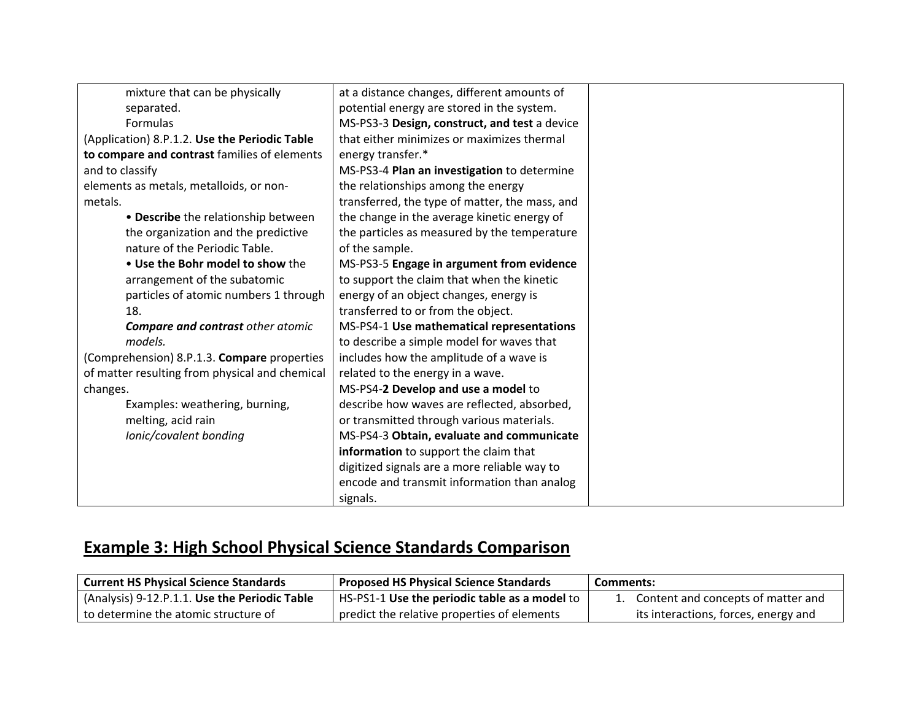| mixture that can be physically                 | at a distance changes, different amounts of    |
|------------------------------------------------|------------------------------------------------|
| separated.                                     | potential energy are stored in the system.     |
| Formulas                                       | MS-PS3-3 Design, construct, and test a device  |
| (Application) 8.P.1.2. Use the Periodic Table  | that either minimizes or maximizes thermal     |
| to compare and contrast families of elements   | energy transfer.*                              |
| and to classify                                | MS-PS3-4 Plan an investigation to determine    |
| elements as metals, metalloids, or non-        | the relationships among the energy             |
| metals.                                        | transferred, the type of matter, the mass, and |
| • Describe the relationship between            | the change in the average kinetic energy of    |
| the organization and the predictive            | the particles as measured by the temperature   |
| nature of the Periodic Table.                  | of the sample.                                 |
| . Use the Bohr model to show the               | MS-PS3-5 Engage in argument from evidence      |
| arrangement of the subatomic                   | to support the claim that when the kinetic     |
| particles of atomic numbers 1 through          | energy of an object changes, energy is         |
| 18.                                            | transferred to or from the object.             |
| <b>Compare and contrast other atomic</b>       | MS-PS4-1 Use mathematical representations      |
| models.                                        | to describe a simple model for waves that      |
| (Comprehension) 8.P.1.3. Compare properties    | includes how the amplitude of a wave is        |
| of matter resulting from physical and chemical | related to the energy in a wave.               |
| changes.                                       | MS-PS4-2 Develop and use a model to            |
| Examples: weathering, burning,                 | describe how waves are reflected, absorbed,    |
| melting, acid rain                             | or transmitted through various materials.      |
| Ionic/covalent bonding                         | MS-PS4-3 Obtain, evaluate and communicate      |
|                                                | information to support the claim that          |
|                                                | digitized signals are a more reliable way to   |
|                                                | encode and transmit information than analog    |
|                                                | signals.                                       |

## **Example 3: High School Physical Science Standards Comparison**

| <b>Current HS Physical Science Standards</b>  | <b>Proposed HS Physical Science Standards</b> | Comments:                             |
|-----------------------------------------------|-----------------------------------------------|---------------------------------------|
| (Analysis) 9-12.P.1.1. Use the Periodic Table | HS-PS1-1 Use the periodic table as a model to | 1. Content and concepts of matter and |
| to determine the atomic structure of          | predict the relative properties of elements   | its interactions, forces, energy and  |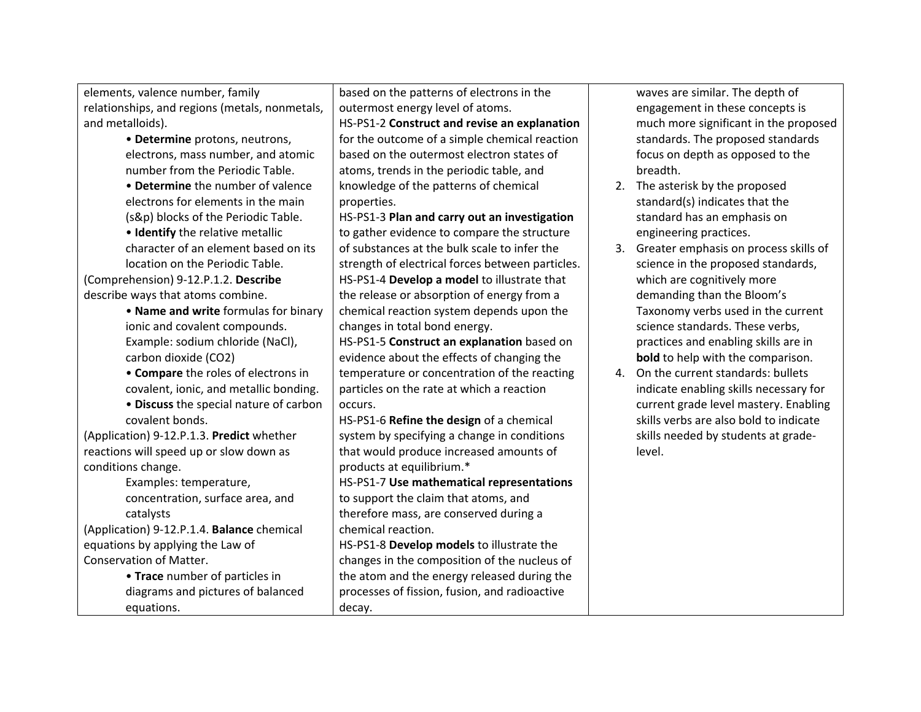elements, valence number, family relationships, and regions (metals, nonmetals, and metalloids).

- **Determine** protons, neutrons, electrons, mass number, and atomic number from the Periodic Table.
- **Determine** the number of valence electrons for elements in the main (s&p) blocks of the Periodic Table.

• **Identify** the relative metallic character of an element based on its location on the Periodic Table.

(Comprehension) 9‐12.P.1.2. **Describe** describe ways that atoms combine.

> • **Name and write** formulas for binary ionic and covalent compounds. Example: sodium chloride (NaCl), carbon dioxide (CO2)

• **Compare** the roles of electrons in covalent, ionic, and metallic bonding.

• **Discuss** the special nature of carbon covalent bonds.

(Application) 9‐12.P.1.3. **Predict** whether reactions will speed up or slow down as conditions change.

> Examples: temperature, concentration, surface area, and catalysts

(Application) 9‐12.P.1.4. **Balance** chemical equations by applying the Law of Conservation of Matter.

> • **Trace** number of particles in diagrams and pictures of balanced equations.

based on the patterns of electrons in the outermost energy level of atoms.

HS‐PS1‐2 **Construct and revise an explanation** for the outcome of <sup>a</sup> simple chemical reaction based on the outermost electron states of atoms, trends in the periodic table, and knowledge of the patterns of chemical properties.

HS‐PS1‐3 **Plan and carry out an investigation** to gather evidence to compare the structure of substances at the bulk scale to infer the strength of electrical forces between particles. HS‐PS1‐4 **Develop <sup>a</sup> model** to illustrate that the release or absorption of energy from <sup>a</sup> chemical reaction system depends upon the changes in total bond energy.

HS‐PS1‐5 **Construct an explanation** based on evidence about the effects of changing the temperature or concentration of the reacting particles on the rate at which <sup>a</sup> reaction occurs.

HS‐PS1‐6 **Refine the design** of <sup>a</sup> chemical system by specifying <sup>a</sup> change in conditions that would produce increased amounts of products at equilibrium.\*

HS‐PS1‐7 **Use mathematical representations** to support the claim that atoms, and therefore mass, are conserved during <sup>a</sup> chemical reaction.

HS‐PS1‐8 **Develop models** to illustrate the changes in the composition of the nucleus of the atom and the energy released during the processes of fission, fusion, and radioactive decay.

waves are similar. The depth of engagement in these concepts is much more significant in the proposed standards. The proposed standards focus on depth as opposed to the breadth.

- 2. The asterisk by the proposed standard(s) indicates that the standard has an emphasis on engineering practices.
- 3. Greater emphasis on process skills of science in the proposed standards, which are cognitively more demanding than the Bloom's Taxonomy verbs used in the current science standards. These verbs, practices and enabling skills are in **bold** to help with the comparison.
- 4. On the current standards: bullets indicate enabling skills necessary for current grade level mastery. Enabling skills verbs are also bold to indicate skills needed by students at grade‐ level.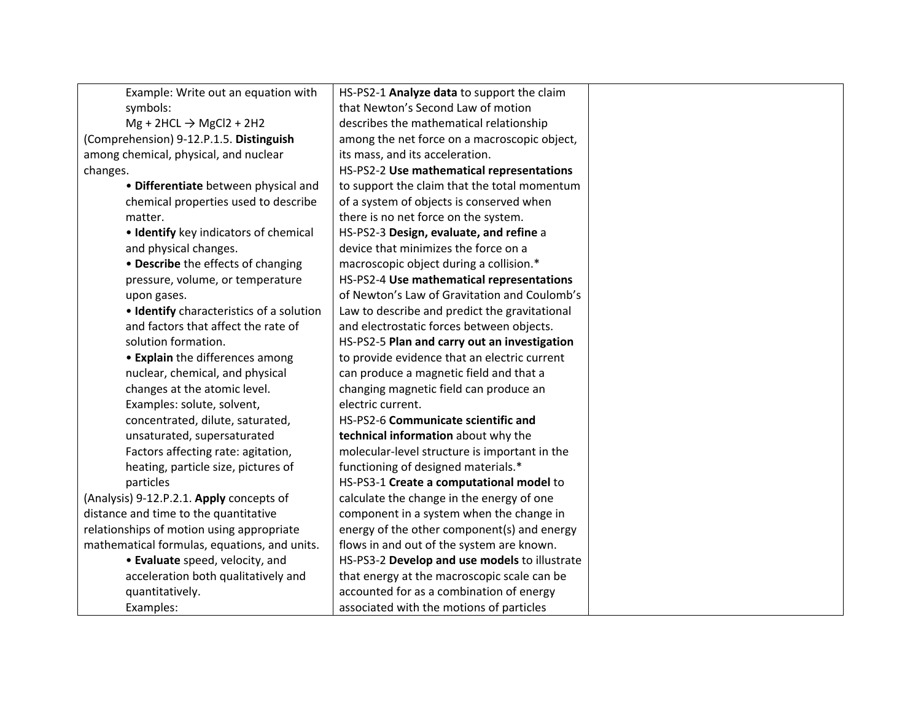| Example: Write out an equation with          | HS-PS2-1 Analyze data to support the claim    |
|----------------------------------------------|-----------------------------------------------|
| symbols:                                     | that Newton's Second Law of motion            |
| $Mg + 2HCL \rightarrow MgCl2 + 2H2$          | describes the mathematical relationship       |
| (Comprehension) 9-12.P.1.5. Distinguish      | among the net force on a macroscopic object,  |
| among chemical, physical, and nuclear        | its mass, and its acceleration.               |
| changes.                                     | HS-PS2-2 Use mathematical representations     |
| · Differentiate between physical and         | to support the claim that the total momentum  |
| chemical properties used to describe         | of a system of objects is conserved when      |
| matter.                                      | there is no net force on the system.          |
| • Identify key indicators of chemical        | HS-PS2-3 Design, evaluate, and refine a       |
| and physical changes.                        | device that minimizes the force on a          |
| • Describe the effects of changing           | macroscopic object during a collision.*       |
| pressure, volume, or temperature             | HS-PS2-4 Use mathematical representations     |
| upon gases.                                  | of Newton's Law of Gravitation and Coulomb's  |
| · Identify characteristics of a solution     | Law to describe and predict the gravitational |
| and factors that affect the rate of          | and electrostatic forces between objects.     |
| solution formation.                          | HS-PS2-5 Plan and carry out an investigation  |
| • Explain the differences among              | to provide evidence that an electric current  |
| nuclear, chemical, and physical              | can produce a magnetic field and that a       |
| changes at the atomic level.                 | changing magnetic field can produce an        |
| Examples: solute, solvent,                   | electric current.                             |
| concentrated, dilute, saturated,             | HS-PS2-6 Communicate scientific and           |
| unsaturated, supersaturated                  | technical information about why the           |
| Factors affecting rate: agitation,           | molecular-level structure is important in the |
| heating, particle size, pictures of          | functioning of designed materials.*           |
| particles                                    | HS-PS3-1 Create a computational model to      |
| (Analysis) 9-12.P.2.1. Apply concepts of     | calculate the change in the energy of one     |
| distance and time to the quantitative        | component in a system when the change in      |
| relationships of motion using appropriate    | energy of the other component(s) and energy   |
| mathematical formulas, equations, and units. | flows in and out of the system are known.     |
| • Evaluate speed, velocity, and              | HS-PS3-2 Develop and use models to illustrate |
| acceleration both qualitatively and          | that energy at the macroscopic scale can be   |
| quantitatively.                              | accounted for as a combination of energy      |
| Examples:                                    | associated with the motions of particles      |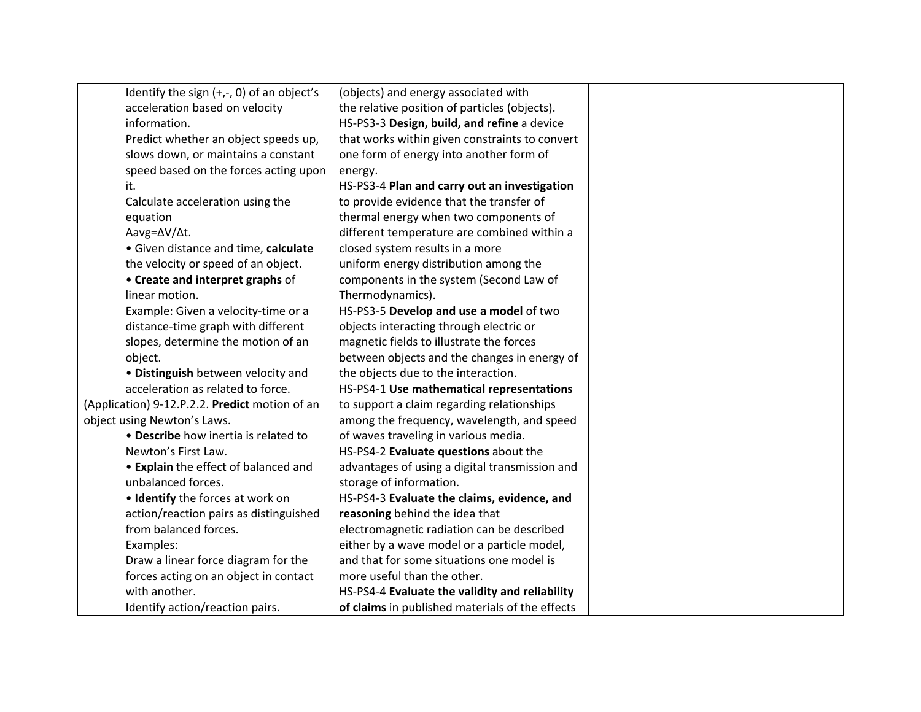| Identify the sign $(+,-, 0)$ of an object's    | (objects) and energy associated with            |
|------------------------------------------------|-------------------------------------------------|
| acceleration based on velocity                 | the relative position of particles (objects).   |
| information.                                   | HS-PS3-3 Design, build, and refine a device     |
| Predict whether an object speeds up,           | that works within given constraints to convert  |
| slows down, or maintains a constant            | one form of energy into another form of         |
| speed based on the forces acting upon          | energy.                                         |
| it.                                            | HS-PS3-4 Plan and carry out an investigation    |
| Calculate acceleration using the               | to provide evidence that the transfer of        |
| equation                                       | thermal energy when two components of           |
| Aavg=∆V/∆t.                                    | different temperature are combined within a     |
| · Given distance and time, calculate           | closed system results in a more                 |
| the velocity or speed of an object.            | uniform energy distribution among the           |
| • Create and interpret graphs of               | components in the system (Second Law of         |
| linear motion.                                 | Thermodynamics).                                |
| Example: Given a velocity-time or a            | HS-PS3-5 Develop and use a model of two         |
| distance-time graph with different             | objects interacting through electric or         |
| slopes, determine the motion of an             | magnetic fields to illustrate the forces        |
| object.                                        | between objects and the changes in energy of    |
| • Distinguish between velocity and             | the objects due to the interaction.             |
| acceleration as related to force.              | HS-PS4-1 Use mathematical representations       |
| (Application) 9-12.P.2.2. Predict motion of an | to support a claim regarding relationships      |
| object using Newton's Laws.                    | among the frequency, wavelength, and speed      |
| • Describe how inertia is related to           | of waves traveling in various media.            |
| Newton's First Law.                            | HS-PS4-2 Evaluate questions about the           |
| • Explain the effect of balanced and           | advantages of using a digital transmission and  |
| unbalanced forces.                             | storage of information.                         |
| • Identify the forces at work on               | HS-PS4-3 Evaluate the claims, evidence, and     |
| action/reaction pairs as distinguished         | reasoning behind the idea that                  |
| from balanced forces.                          | electromagnetic radiation can be described      |
| Examples:                                      | either by a wave model or a particle model,     |
| Draw a linear force diagram for the            | and that for some situations one model is       |
| forces acting on an object in contact          | more useful than the other.                     |
| with another.                                  | HS-PS4-4 Evaluate the validity and reliability  |
| Identify action/reaction pairs.                | of claims in published materials of the effects |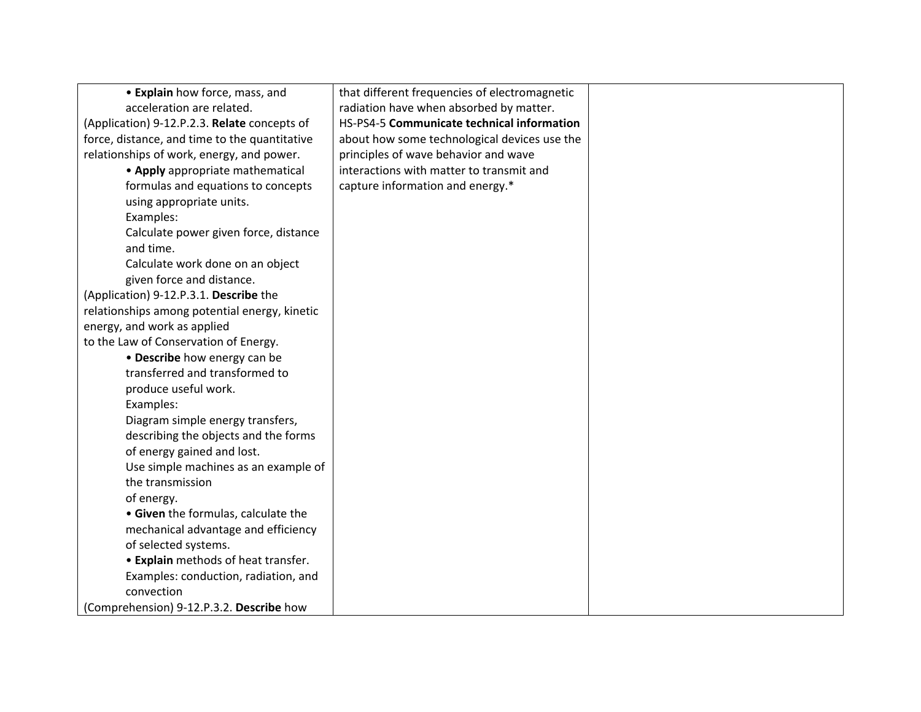| • Explain how force, mass, and                | that different frequencies of electromagnetic |  |
|-----------------------------------------------|-----------------------------------------------|--|
| acceleration are related.                     | radiation have when absorbed by matter.       |  |
| (Application) 9-12.P.2.3. Relate concepts of  | HS-PS4-5 Communicate technical information    |  |
| force, distance, and time to the quantitative | about how some technological devices use the  |  |
| relationships of work, energy, and power.     | principles of wave behavior and wave          |  |
| • Apply appropriate mathematical              | interactions with matter to transmit and      |  |
| formulas and equations to concepts            | capture information and energy.*              |  |
| using appropriate units.                      |                                               |  |
| Examples:                                     |                                               |  |
| Calculate power given force, distance         |                                               |  |
| and time.                                     |                                               |  |
| Calculate work done on an object              |                                               |  |
| given force and distance.                     |                                               |  |
| (Application) 9-12.P.3.1. Describe the        |                                               |  |
| relationships among potential energy, kinetic |                                               |  |
| energy, and work as applied                   |                                               |  |
| to the Law of Conservation of Energy.         |                                               |  |
| • Describe how energy can be                  |                                               |  |
| transferred and transformed to                |                                               |  |
| produce useful work.                          |                                               |  |
| Examples:                                     |                                               |  |
| Diagram simple energy transfers,              |                                               |  |
| describing the objects and the forms          |                                               |  |
| of energy gained and lost.                    |                                               |  |
| Use simple machines as an example of          |                                               |  |
| the transmission                              |                                               |  |
| of energy.                                    |                                               |  |
| • Given the formulas, calculate the           |                                               |  |
| mechanical advantage and efficiency           |                                               |  |
| of selected systems.                          |                                               |  |
| • Explain methods of heat transfer.           |                                               |  |
| Examples: conduction, radiation, and          |                                               |  |
| convection                                    |                                               |  |
| (Comprehension) 9-12.P.3.2. Describe how      |                                               |  |